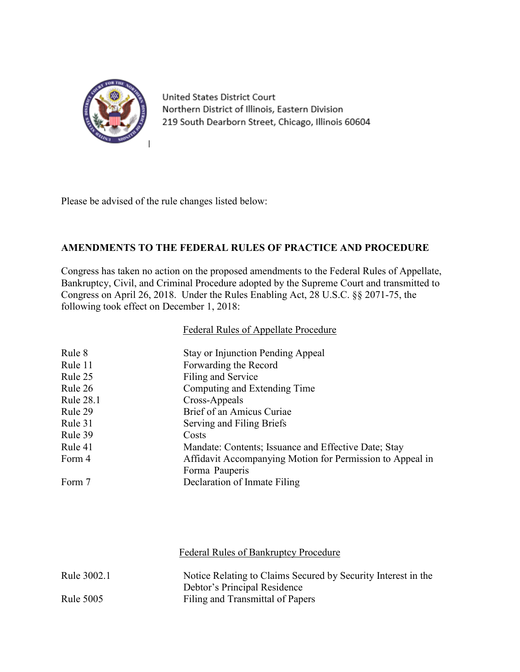

United States District Court Northern District of Illinois, Eastern Division 219 South Dearborn Street, Chicago, Illinois 60604

Please be advised of the rule changes listed below:

### **AMENDMENTS TO THE FEDERAL RULES OF PRACTICE AND PROCEDURE**

Congress has taken no action on the proposed amendments to the Federal Rules of Appellate, Bankruptcy, Civil, and Criminal Procedure adopted by the Supreme Court and transmitted to Congress on April 26, 2018. Under the Rules Enabling Act, 28 U.S.C. §§ 2071-75, the following took effect on December 1, 2018:

#### Federal Rules of Appellate Procedure

| Rule 8           | <b>Stay or Injunction Pending Appeal</b>                  |
|------------------|-----------------------------------------------------------|
| Rule 11          | Forwarding the Record                                     |
| Rule 25          | Filing and Service                                        |
| Rule 26          | Computing and Extending Time                              |
| <b>Rule 28.1</b> | Cross-Appeals                                             |
| Rule 29          | Brief of an Amicus Curiae                                 |
| Rule 31          | Serving and Filing Briefs                                 |
| Rule 39          | Costs                                                     |
| Rule 41          | Mandate: Contents; Issuance and Effective Date; Stay      |
| Form 4           | Affidavit Accompanying Motion for Permission to Appeal in |
|                  | Forma Pauperis                                            |
| Form 7           | Declaration of Inmate Filing                              |

# Federal Rules of Bankruptcy Procedure Rule 3002.1 Notice Relating to Claims Secured by Security Interest in the Debtor's Principal Residence Rule 5005 Filing and Transmittal of Papers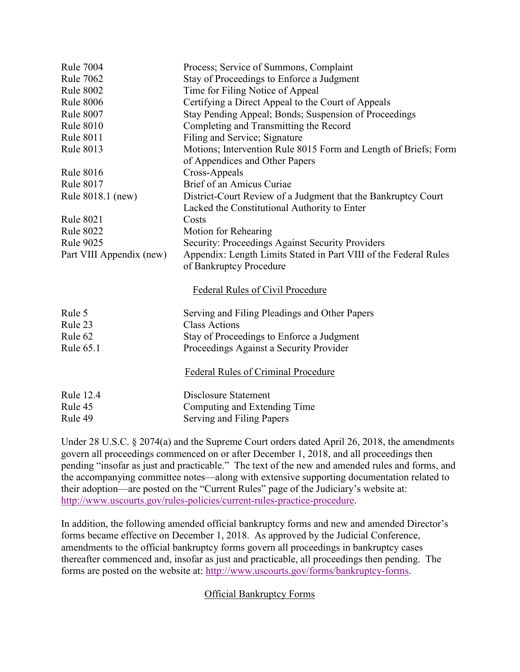| <b>Rule 7004</b>         | Process; Service of Summons, Complaint                           |
|--------------------------|------------------------------------------------------------------|
| <b>Rule 7062</b>         | Stay of Proceedings to Enforce a Judgment                        |
| <b>Rule 8002</b>         | Time for Filing Notice of Appeal                                 |
| <b>Rule 8006</b>         | Certifying a Direct Appeal to the Court of Appeals               |
| <b>Rule 8007</b>         | Stay Pending Appeal; Bonds; Suspension of Proceedings            |
| <b>Rule 8010</b>         | Completing and Transmitting the Record                           |
| <b>Rule 8011</b>         | Filing and Service; Signature                                    |
| <b>Rule 8013</b>         | Motions; Intervention Rule 8015 Form and Length of Briefs; Form  |
|                          | of Appendices and Other Papers                                   |
| <b>Rule 8016</b>         | Cross-Appeals                                                    |
| <b>Rule 8017</b>         | Brief of an Amicus Curiae                                        |
| Rule 8018.1 (new)        | District-Court Review of a Judgment that the Bankruptcy Court    |
|                          | Lacked the Constitutional Authority to Enter                     |
| <b>Rule 8021</b>         | Costs                                                            |
| <b>Rule 8022</b>         | Motion for Rehearing                                             |
| <b>Rule 9025</b>         | Security: Proceedings Against Security Providers                 |
| Part VIII Appendix (new) | Appendix: Length Limits Stated in Part VIII of the Federal Rules |
|                          | of Bankruptcy Procedure                                          |
|                          | Federal Rules of Civil Procedure                                 |
|                          |                                                                  |
| Rule 5                   | Serving and Filing Pleadings and Other Papers                    |
| Rule 23                  | <b>Class Actions</b>                                             |
| Rule 62                  | Stay of Proceedings to Enforce a Judgment                        |
| <b>Rule 65.1</b>         | Proceedings Against a Security Provider                          |
|                          | Federal Rules of Criminal Procedure                              |
| <b>Rule 12.4</b>         | <b>Disclosure Statement</b>                                      |
| Rule 45                  | Computing and Extending Time                                     |
| Rule 49                  | Serving and Filing Papers                                        |

Under 28 U.S.C. § 2074(a) and the Supreme Court orders dated April 26, 2018, the amendments govern all proceedings commenced on or after December 1, 2018, and all proceedings then pending "insofar as just and practicable." The text of the new and amended rules and forms, and the accompanying committee notes—along with extensive supporting documentation related to their adoption—are posted on the "Current Rules" page of the Judiciary's website at: [http://www.uscourts.gov/rules-policies/current-rules-practice-procedure.](http://www.uscourts.gov/rules-policies/current-rules-practice-procedure)

In addition, the following amended official bankruptcy forms and new and amended Director's forms became effective on December 1, 2018. As approved by the Judicial Conference, amendments to the official bankruptcy forms govern all proceedings in bankruptcy cases thereafter commenced and, insofar as just and practicable, all proceedings then pending. The forms are posted on the website at: [http://www.uscourts.gov/forms/bankruptcy-forms.](http://www.uscourts.gov/forms/bankruptcy-forms)

### Official Bankruptcy Forms